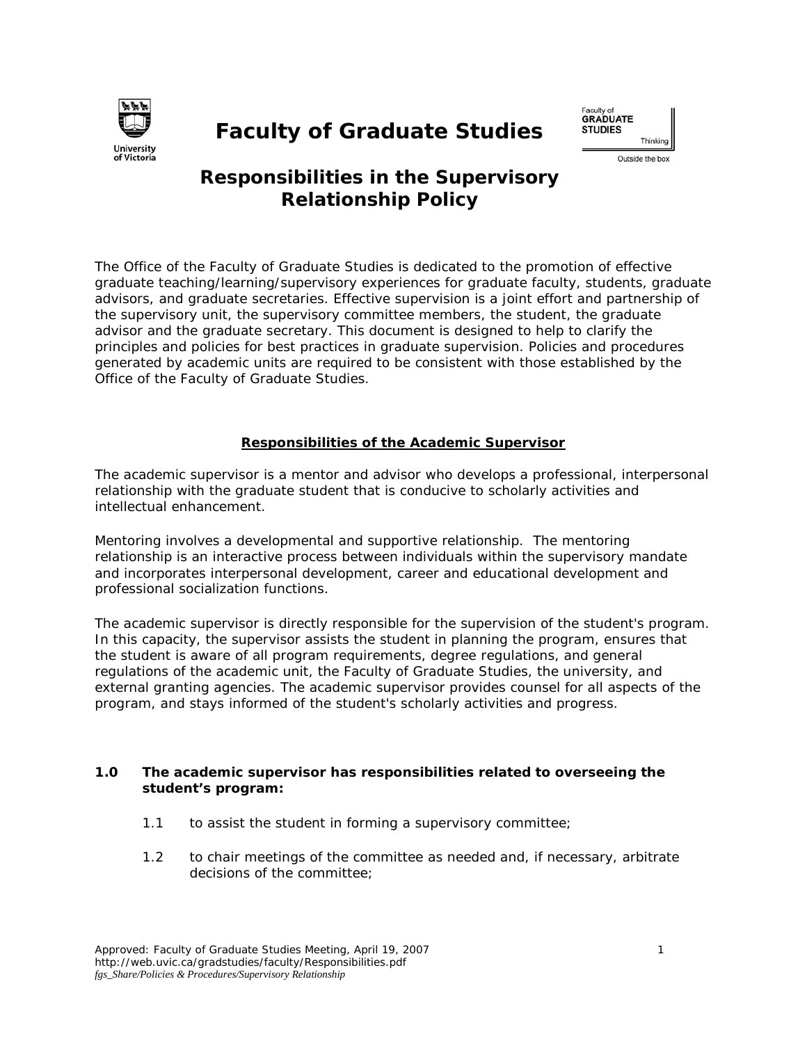

# **Faculty of Graduate Studies**



# **Responsibilities in the Supervisory Relationship Policy**

The Office of the Faculty of Graduate Studies is dedicated to the promotion of effective graduate teaching/learning/supervisory experiences for graduate faculty, students, graduate advisors, and graduate secretaries. Effective supervision is a joint effort and partnership of the supervisory unit, the supervisory committee members, the student, the graduate advisor and the graduate secretary. This document is designed to help to clarify the principles and policies for best practices in graduate supervision. Policies and procedures generated by academic units are required to be consistent with those established by the Office of the Faculty of Graduate Studies.

# **Responsibilities of the Academic Supervisor**

The academic supervisor is a mentor and advisor who develops a professional, interpersonal relationship with the graduate student that is conducive to scholarly activities and intellectual enhancement.

Mentoring involves a developmental and supportive relationship. The mentoring relationship is an interactive process between individuals within the supervisory mandate and incorporates interpersonal development, career and educational development and professional socialization functions.

The academic supervisor is directly responsible for the supervision of the student's program. In this capacity, the supervisor assists the student in planning the program, ensures that the student is aware of all program requirements, degree regulations, and general regulations of the academic unit, the Faculty of Graduate Studies, the university, and external granting agencies. The academic supervisor provides counsel for all aspects of the program, and stays informed of the student's scholarly activities and progress.

# **1.0 The academic supervisor has responsibilities related to overseeing the student's program:**

- 1.1 to assist the student in forming a supervisory committee;
- 1.2 to chair meetings of the committee as needed and, if necessary, arbitrate decisions of the committee;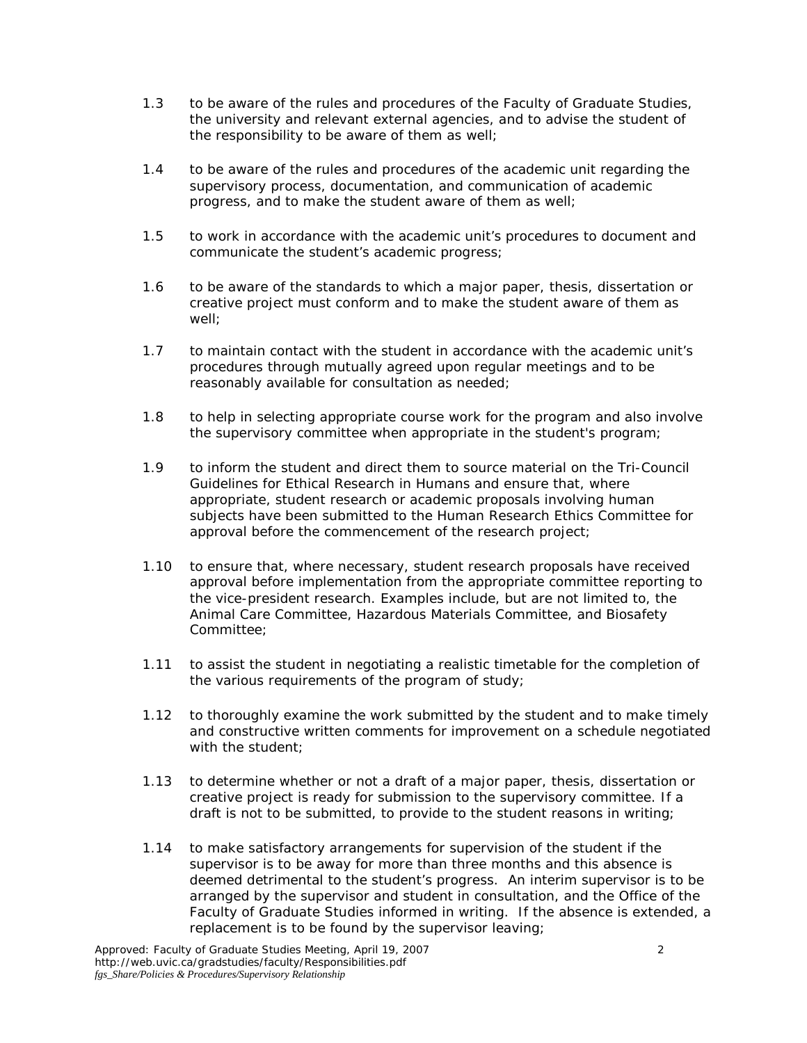- 1.3 to be aware of the rules and procedures of the Faculty of Graduate Studies, the university and relevant external agencies, and to advise the student of the responsibility to be aware of them as well;
- 1.4 to be aware of the rules and procedures of the academic unit regarding the supervisory process, documentation, and communication of academic progress, and to make the student aware of them as well;
- 1.5 to work in accordance with the academic unit's procedures to document and communicate the student's academic progress;
- 1.6 to be aware of the standards to which a major paper, thesis, dissertation or creative project must conform and to make the student aware of them as well;
- 1.7 to maintain contact with the student in accordance with the academic unit's procedures through mutually agreed upon regular meetings and to be reasonably available for consultation as needed;
- 1.8 to help in selecting appropriate course work for the program and also involve the supervisory committee when appropriate in the student's program;
- 1.9 to inform the student and direct them to source material on the Tri-Council Guidelines for Ethical Research in Humans and ensure that, where appropriate, student research or academic proposals involving human subjects have been submitted to the Human Research Ethics Committee for approval before the commencement of the research project;
- 1.10 to ensure that, where necessary, student research proposals have received approval before implementation from the appropriate committee reporting to the vice-president research. Examples include, but are not limited to, the Animal Care Committee, Hazardous Materials Committee, and Biosafety Committee;
- 1.11 to assist the student in negotiating a realistic timetable for the completion of the various requirements of the program of study;
- 1.12 to thoroughly examine the work submitted by the student and to make timely and constructive written comments for improvement on a schedule negotiated with the student;
- 1.13 to determine whether or not a draft of a major paper, thesis, dissertation or creative project is ready for submission to the supervisory committee. If a draft is not to be submitted, to provide to the student reasons in writing;
- 1.14 to make satisfactory arrangements for supervision of the student if the supervisor is to be away for more than three months and this absence is deemed detrimental to the student's progress. An interim supervisor is to be arranged by the supervisor and student in consultation, and the Office of the Faculty of Graduate Studies informed in writing. If the absence is extended, a replacement is to be found by the supervisor leaving;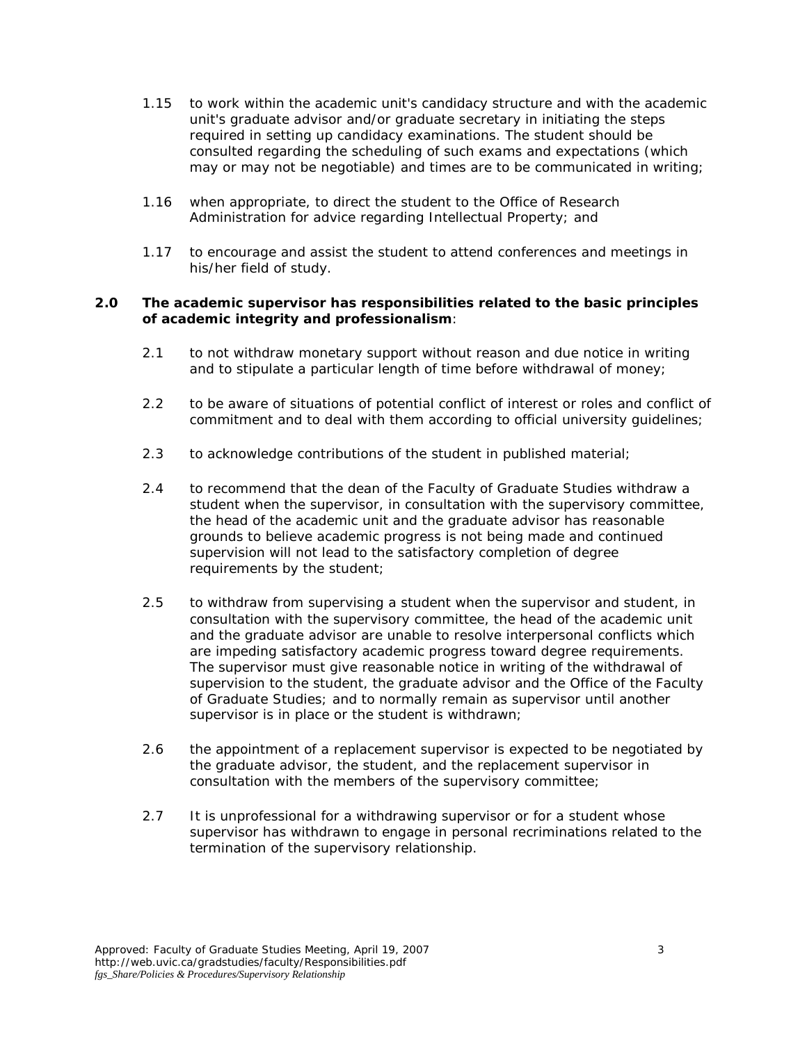- 1.15 to work within the academic unit's candidacy structure and with the academic unit's graduate advisor and/or graduate secretary in initiating the steps required in setting up candidacy examinations. The student should be consulted regarding the scheduling of such exams and expectations (which may or may not be negotiable) and times are to be communicated in writing;
- 1.16 when appropriate, to direct the student to the Office of Research Administration for advice regarding Intellectual Property; and
- 1.17 to encourage and assist the student to attend conferences and meetings in his/her field of study.

#### **2.0 The academic supervisor has responsibilities related to the basic principles of academic integrity and professionalism**:

- 2.1 to not withdraw monetary support without reason and due notice in writing and to stipulate a particular length of time before withdrawal of money;
- 2.2 to be aware of situations of potential conflict of interest or roles and conflict of commitment and to deal with them according to official university guidelines;
- 2.3 to acknowledge contributions of the student in published material;
- 2.4 to recommend that the dean of the Faculty of Graduate Studies withdraw a student when the supervisor, in consultation with the supervisory committee, the head of the academic unit and the graduate advisor has reasonable grounds to believe academic progress is not being made and continued supervision will not lead to the satisfactory completion of degree requirements by the student;
- 2.5 to withdraw from supervising a student when the supervisor and student, in consultation with the supervisory committee, the head of the academic unit and the graduate advisor are unable to resolve interpersonal conflicts which are impeding satisfactory academic progress toward degree requirements. The supervisor must give reasonable notice in writing of the withdrawal of supervision to the student, the graduate advisor and the Office of the Faculty of Graduate Studies; and to normally remain as supervisor until another supervisor is in place or the student is withdrawn;
- 2.6 the appointment of a replacement supervisor is expected to be negotiated by the graduate advisor, the student, and the replacement supervisor in consultation with the members of the supervisory committee;
- 2.7 It is unprofessional for a withdrawing supervisor or for a student whose supervisor has withdrawn to engage in personal recriminations related to the termination of the supervisory relationship.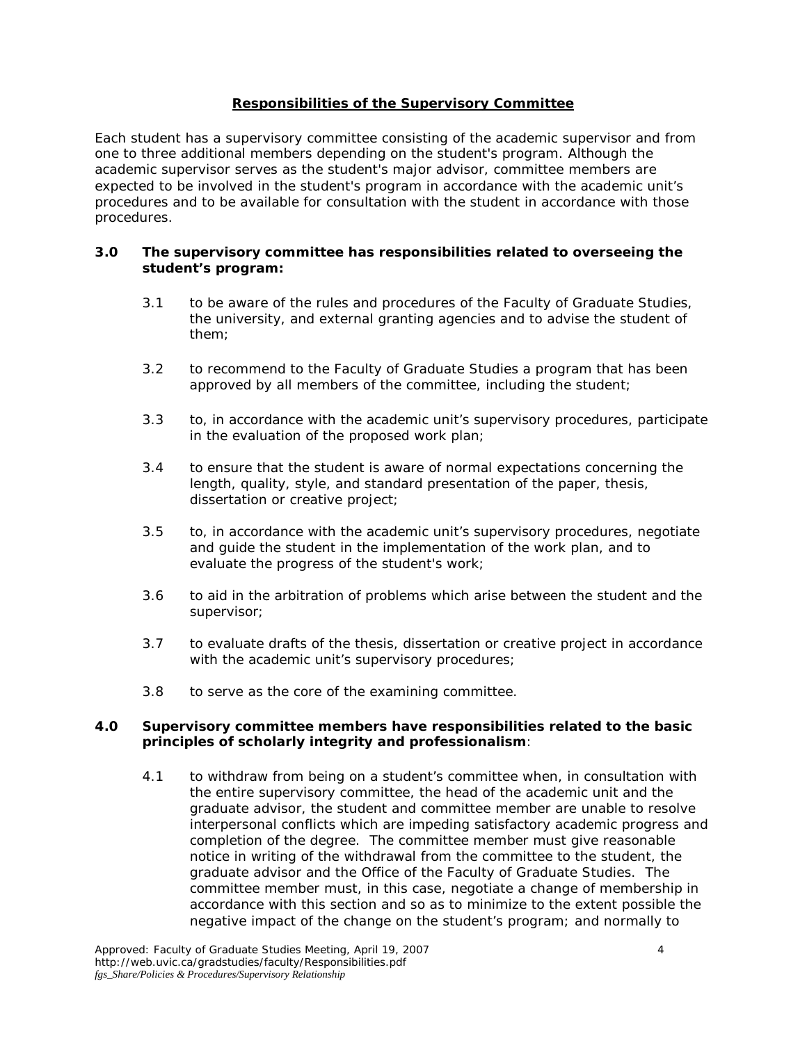# **Responsibilities of the Supervisory Committee**

Each student has a supervisory committee consisting of the academic supervisor and from one to three additional members depending on the student's program. Although the academic supervisor serves as the student's major advisor, committee members are expected to be involved in the student's program in accordance with the academic unit's procedures and to be available for consultation with the student in accordance with those procedures.

#### **3.0 The supervisory committee has responsibilities related to overseeing the student's program:**

- 3.1 to be aware of the rules and procedures of the Faculty of Graduate Studies, the university, and external granting agencies and to advise the student of them;
- 3.2 to recommend to the Faculty of Graduate Studies a program that has been approved by all members of the committee, including the student;
- 3.3 to, in accordance with the academic unit's supervisory procedures, participate in the evaluation of the proposed work plan;
- 3.4 to ensure that the student is aware of normal expectations concerning the length, quality, style, and standard presentation of the paper, thesis, dissertation or creative project;
- 3.5 to, in accordance with the academic unit's supervisory procedures, negotiate and guide the student in the implementation of the work plan, and to evaluate the progress of the student's work;
- 3.6 to aid in the arbitration of problems which arise between the student and the supervisor;
- 3.7 to evaluate drafts of the thesis, dissertation or creative project in accordance with the academic unit's supervisory procedures;
- 3.8 to serve as the core of the examining committee.

#### **4.0 Supervisory committee members have responsibilities related to the basic principles of scholarly integrity and professionalism**:

4.1 to withdraw from being on a student's committee when, in consultation with the entire supervisory committee, the head of the academic unit and the graduate advisor, the student and committee member are unable to resolve interpersonal conflicts which are impeding satisfactory academic progress and completion of the degree. The committee member must give reasonable notice in writing of the withdrawal from the committee to the student, the graduate advisor and the Office of the Faculty of Graduate Studies. The committee member must, in this case, negotiate a change of membership in accordance with this section and so as to minimize to the extent possible the negative impact of the change on the student's program; and normally to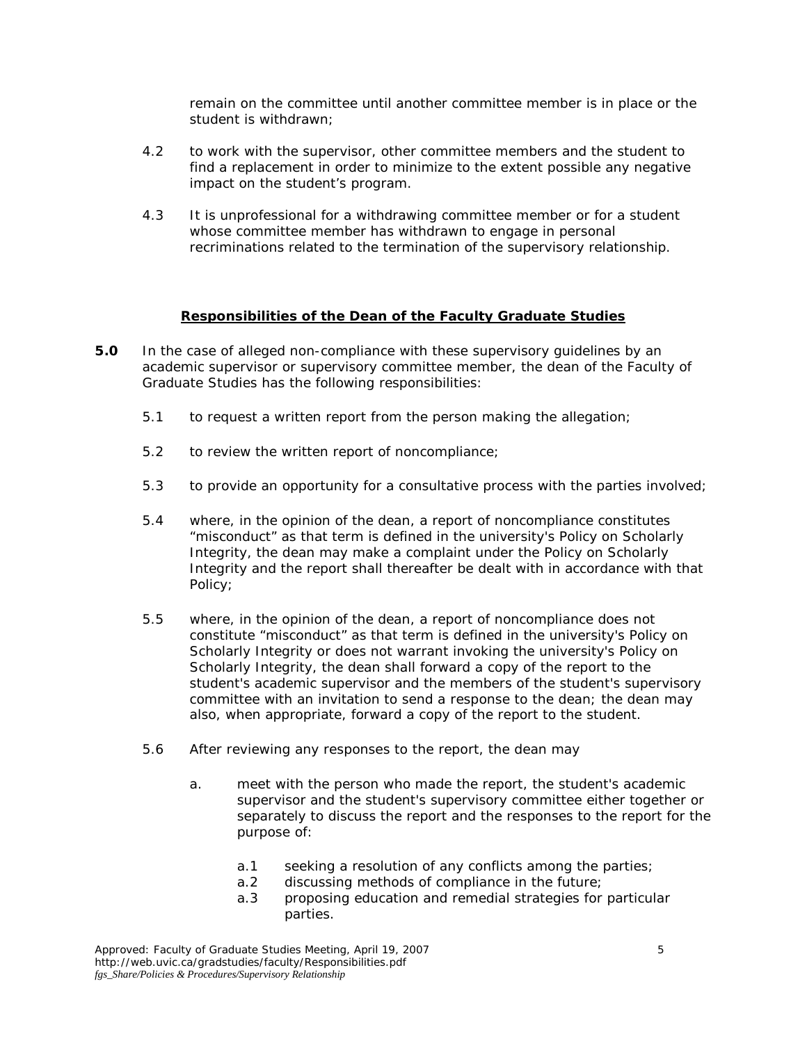remain on the committee until another committee member is in place or the student is withdrawn;

- 4.2 to work with the supervisor, other committee members and the student to find a replacement in order to minimize to the extent possible any negative impact on the student's program.
- 4.3 It is unprofessional for a withdrawing committee member or for a student whose committee member has withdrawn to engage in personal recriminations related to the termination of the supervisory relationship.

#### **Responsibilities of the Dean of the Faculty Graduate Studies**

- **5.0** In the case of alleged non-compliance with these supervisory guidelines by an academic supervisor or supervisory committee member, the dean of the Faculty of Graduate Studies has the following responsibilities:
	- 5.1 to request a written report from the person making the allegation;
	- 5.2 to review the written report of noncompliance;
	- 5.3 to provide an opportunity for a consultative process with the parties involved;
	- 5.4 where, in the opinion of the dean, a report of noncompliance constitutes "misconduct" as that term is defined in the university's Policy on Scholarly Integrity, the dean may make a complaint under the Policy on Scholarly Integrity and the report shall thereafter be dealt with in accordance with that Policy;
	- 5.5 where, in the opinion of the dean, a report of noncompliance does not constitute "misconduct" as that term is defined in the university's Policy on Scholarly Integrity or does not warrant invoking the university's Policy on Scholarly Integrity, the dean shall forward a copy of the report to the student's academic supervisor and the members of the student's supervisory committee with an invitation to send a response to the dean; the dean may also, when appropriate, forward a copy of the report to the student.
	- 5.6 After reviewing any responses to the report, the dean may
		- a. meet with the person who made the report, the student's academic supervisor and the student's supervisory committee either together or separately to discuss the report and the responses to the report for the purpose of:
			- a.1 seeking a resolution of any conflicts among the parties;
			- a.2 discussing methods of compliance in the future;
			- a.3 proposing education and remedial strategies for particular parties.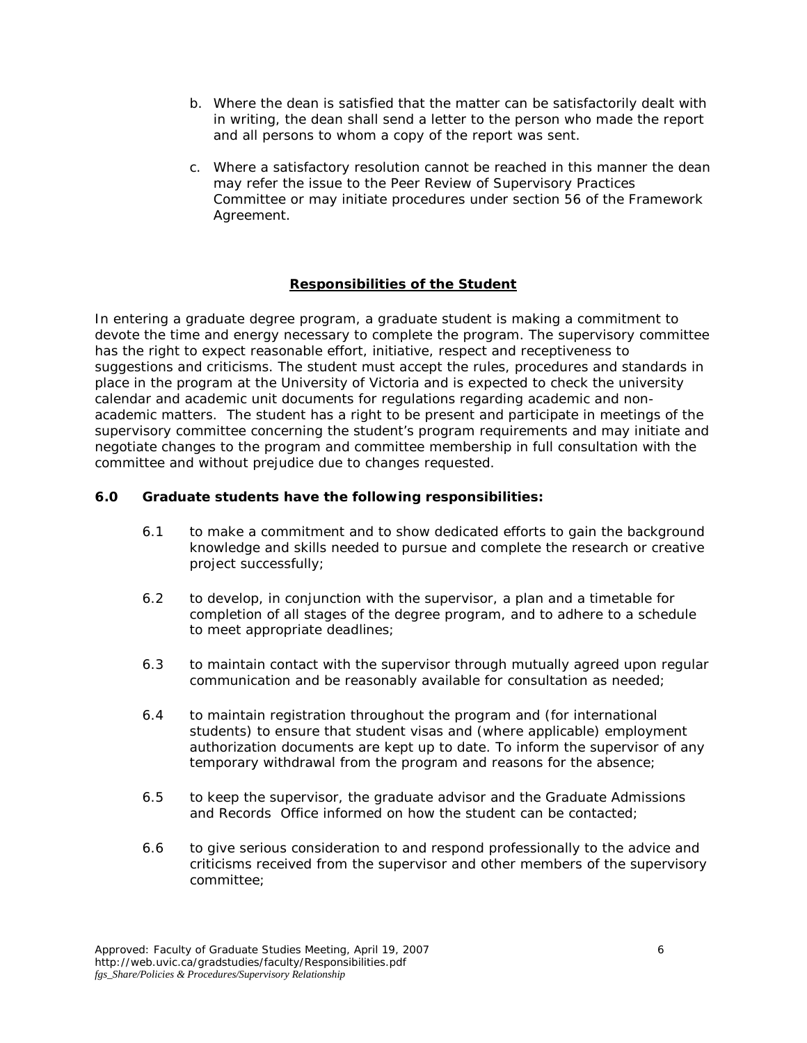- b. Where the dean is satisfied that the matter can be satisfactorily dealt with in writing, the dean shall send a letter to the person who made the report and all persons to whom a copy of the report was sent.
- c. Where a satisfactory resolution cannot be reached in this manner the dean may refer the issue to the Peer Review of Supervisory Practices Committee or may initiate procedures under section 56 of the Framework Agreement.

# **Responsibilities of the Student**

In entering a graduate degree program, a graduate student is making a commitment to devote the time and energy necessary to complete the program. The supervisory committee has the right to expect reasonable effort, initiative, respect and receptiveness to suggestions and criticisms. The student must accept the rules, procedures and standards in place in the program at the University of Victoria and is expected to check the university calendar and academic unit documents for regulations regarding academic and nonacademic matters. The student has a right to be present and participate in meetings of the supervisory committee concerning the student's program requirements and may initiate and negotiate changes to the program and committee membership in full consultation with the committee and without prejudice due to changes requested.

# **6.0 Graduate students have the following responsibilities:**

- 6.1 to make a commitment and to show dedicated efforts to gain the background knowledge and skills needed to pursue and complete the research or creative project successfully;
- 6.2 to develop, in conjunction with the supervisor, a plan and a timetable for completion of all stages of the degree program, and to adhere to a schedule to meet appropriate deadlines;
- 6.3 to maintain contact with the supervisor through mutually agreed upon regular communication and be reasonably available for consultation as needed;
- 6.4 to maintain registration throughout the program and (for international students) to ensure that student visas and (where applicable) employment authorization documents are kept up to date. To inform the supervisor of any temporary withdrawal from the program and reasons for the absence;
- 6.5 to keep the supervisor, the graduate advisor and the Graduate Admissions and Records Office informed on how the student can be contacted;
- 6.6 to give serious consideration to and respond professionally to the advice and criticisms received from the supervisor and other members of the supervisory committee;